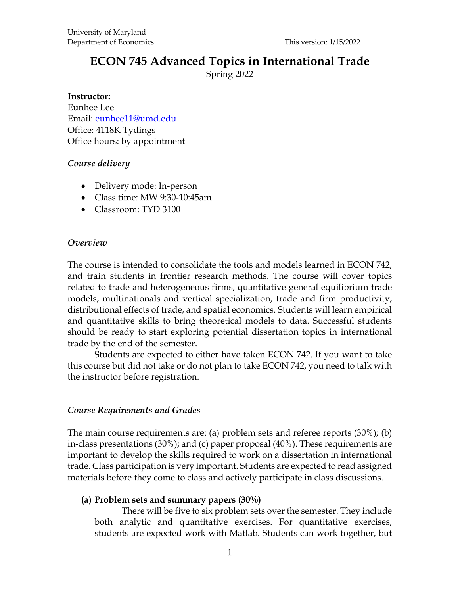# **ECON 745 Advanced Topics in International Trade**

Spring 2022

#### **Instructor:**

Eunhee Lee Email: [eunhee11@umd.edu](mailto:eunhee11@umd.edu) Office: 4118K Tydings Office hours: by appointment

#### *Course delivery*

- Delivery mode: In-person
- Class time: MW 9:30-10:45am
- Classroom: TYD 3100

#### *Overview*

The course is intended to consolidate the tools and models learned in ECON 742, and train students in frontier research methods. The course will cover topics related to trade and heterogeneous firms, quantitative general equilibrium trade models, multinationals and vertical specialization, trade and firm productivity, distributional effects of trade, and spatial economics. Students will learn empirical and quantitative skills to bring theoretical models to data. Successful students should be ready to start exploring potential dissertation topics in international trade by the end of the semester.

Students are expected to either have taken ECON 742. If you want to take this course but did not take or do not plan to take ECON 742, you need to talk with the instructor before registration.

#### *Course Requirements and Grades*

The main course requirements are: (a) problem sets and referee reports (30%); (b) in-class presentations (30%); and (c) paper proposal (40%). These requirements are important to develop the skills required to work on a dissertation in international trade. Class participation is very important. Students are expected to read assigned materials before they come to class and actively participate in class discussions.

#### **(a) Problem sets and summary papers (30%)**

There will be *five to six* problem sets over the semester. They include both analytic and quantitative exercises. For quantitative exercises, students are expected work with Matlab. Students can work together, but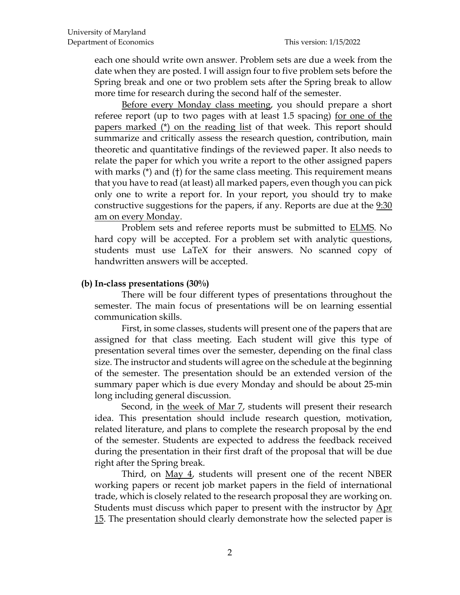each one should write own answer. Problem sets are due a week from the date when they are posted. I will assign four to five problem sets before the Spring break and one or two problem sets after the Spring break to allow more time for research during the second half of the semester.

Before every Monday class meeting, you should prepare a short referee report (up to two pages with at least 1.5 spacing) for one of the papers marked (\*) on the reading list of that week. This report should summarize and critically assess the research question, contribution, main theoretic and quantitative findings of the reviewed paper. It also needs to relate the paper for which you write a report to the other assigned papers with marks (\*) and (†) for the same class meeting. This requirement means that you have to read (at least) all marked papers, even though you can pick only one to write a report for. In your report, you should try to make constructive suggestions for the papers, if any. Reports are due at the 9:30 am on every Monday.

Problem sets and referee reports must be submitted to ELMS. No hard copy will be accepted. For a problem set with analytic questions, students must use LaTeX for their answers. No scanned copy of handwritten answers will be accepted.

#### **(b) In-class presentations (30%)**

There will be four different types of presentations throughout the semester. The main focus of presentations will be on learning essential communication skills.

First, in some classes, students will present one of the papers that are assigned for that class meeting. Each student will give this type of presentation several times over the semester, depending on the final class size. The instructor and students will agree on the schedule at the beginning of the semester. The presentation should be an extended version of the summary paper which is due every Monday and should be about 25-min long including general discussion.

Second, in the week of Mar 7, students will present their research idea. This presentation should include research question, motivation, related literature, and plans to complete the research proposal by the end of the semester. Students are expected to address the feedback received during the presentation in their first draft of the proposal that will be due right after the Spring break.

Third, on <u>May 4</u>, students will present one of the recent NBER working papers or recent job market papers in the field of international trade, which is closely related to the research proposal they are working on. Students must discuss which paper to present with the instructor by Apr 15. The presentation should clearly demonstrate how the selected paper is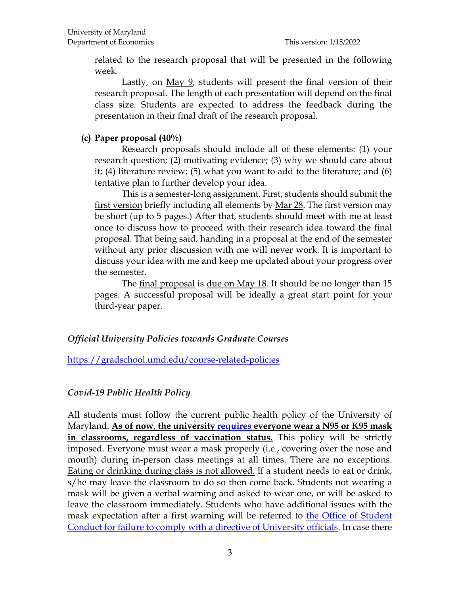related to the research proposal that will be presented in the following week.

Lastly, on <u>May 9</u>, students will present the final version of their research proposal. The length of each presentation will depend on the final class size. Students are expected to address the feedback during the presentation in their final draft of the research proposal.

# **(c) Paper proposal (40%)**

Research proposals should include all of these elements: (1) your research question; (2) motivating evidence; (3) why we should care about it; (4) literature review; (5) what you want to add to the literature; and (6) tentative plan to further develop your idea.

This is a semester-long assignment. First, students should submit the first version briefly including all elements by Mar 28. The first version may be short (up to 5 pages.) After that, students should meet with me at least once to discuss how to proceed with their research idea toward the final proposal. That being said, handing in a proposal at the end of the semester without any prior discussion with me will never work. It is important to discuss your idea with me and keep me updated about your progress over the semester.

The final proposal is due on May 18. It should be no longer than 15 pages. A successful proposal will be ideally a great start point for your third-year paper.

### *Official University Policies towards Graduate Courses*

<https://gradschool.umd.edu/course-related-policies>

# *Covid-19 Public Health Policy*

All students must follow the current public health policy of the University of Maryland. **As of now, the university [requires](https://umd.edu/virusinfo/emails/080621) everyone wear a N95 or K95 mask in classrooms, regardless of vaccination status.** This policy will be strictly imposed. Everyone must wear a mask properly (i.e., covering over the nose and mouth) during in-person class meetings at all times. There are no exceptions. Eating or drinking during class is not allowed. If a student needs to eat or drink, s/he may leave the classroom to do so then come back. Students not wearing a mask will be given a verbal warning and asked to wear one, or will be asked to leave the classroom immediately. Students who have additional issues with the mask expectation after a first warning will be referred to **the Office of Student** [Conduct for failure to comply with a directive of University officials.](https://policies.umd.edu/assets/section-v/V-100B.pdf) In case there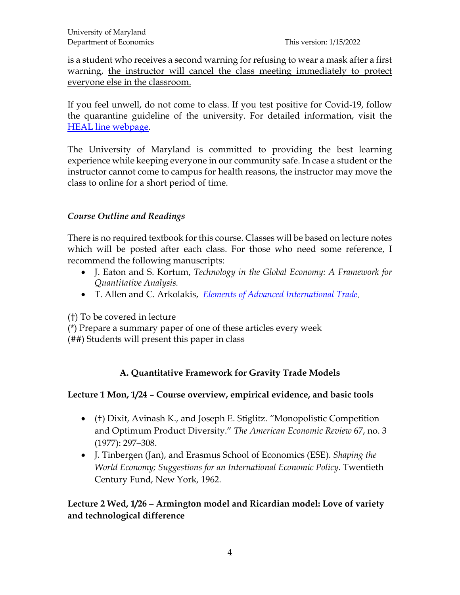is a student who receives a second warning for refusing to wear a mask after a first warning, the instructor will cancel the class meeting immediately to protect everyone else in the classroom.

If you feel unwell, do not come to class. If you test positive for Covid-19, follow the quarantine guideline of the university. For detailed information, visit the [HEAL line webpage.](https://health.umd.edu/HEAL)

The University of Maryland is committed to providing the best learning experience while keeping everyone in our community safe. In case a student or the instructor cannot come to campus for health reasons, the instructor may move the class to online for a short period of time.

# *Course Outline and Readings*

There is no required textbook for this course. Classes will be based on lecture notes which will be posted after each class. For those who need some reference, I recommend the following manuscripts:

- J. Eaton and S. Kortum, *Technology in the Global Economy: A Framework for Quantitative Analysis.*
- T. Allen and C. Arkolakis, *[Elements of Advanced International Trade](http://www.econ.yale.edu/%7Eka265/teaching/GradTrade/notes/ClassNotes.pdf)*.

(†) To be covered in lecture

(\*) Prepare a summary paper of one of these articles every week

(##) Students will present this paper in class

# **A. Quantitative Framework for Gravity Trade Models**

# **Lecture 1 Mon, 1/24 – Course overview, empirical evidence, and basic tools**

- (†) Dixit, Avinash K., and Joseph E. Stiglitz. "Monopolistic Competition and Optimum Product Diversity." *The American Economic Review* 67, no. 3 (1977): 297–308.
- J. Tinbergen (Jan), and Erasmus School of Economics (ESE). *Shaping the World Economy; Suggestions for an International Economic Policy*. Twentieth Century Fund, New York, 1962.

# **Lecture 2 Wed, 1/26 – Armington model and Ricardian model: Love of variety and technological difference**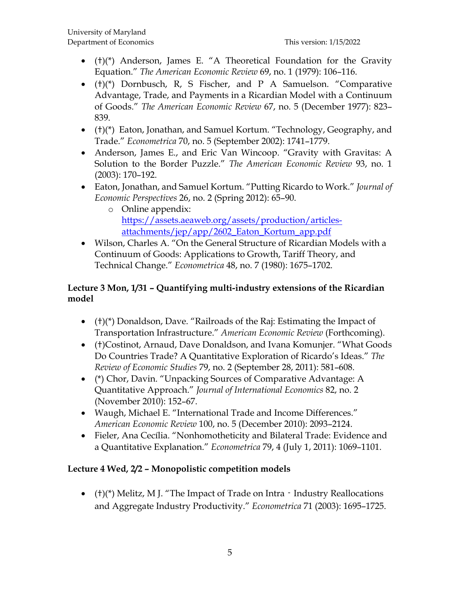- (†)(\*) Anderson, James E. "A Theoretical Foundation for the Gravity Equation." *The American Economic Review* 69, no. 1 (1979): 106–116.
- $\bullet$  (†)(\*) Dornbusch, R, S Fischer, and P A Samuelson. "Comparative Advantage, Trade, and Payments in a Ricardian Model with a Continuum of Goods." *The American Economic Review* 67, no. 5 (December 1977): 823– 839.
- (†)(\*) Eaton, Jonathan, and Samuel Kortum. "Technology, Geography, and Trade." *Econometrica* 70, no. 5 (September 2002): 1741–1779.
- Anderson, James E., and Eric Van Wincoop. "Gravity with Gravitas: A Solution to the Border Puzzle." *The American Economic Review* 93, no. 1 (2003): 170–192.
- Eaton, Jonathan, and Samuel Kortum. "Putting Ricardo to Work." *Journal of Economic Perspectives* 26, no. 2 (Spring 2012): 65–90.
	- o Online appendix: [https://assets.aeaweb.org/assets/production/articles](https://assets.aeaweb.org/assets/production/articles-attachments/jep/app/2602_Eaton_Kortum_app.pdf)[attachments/jep/app/2602\\_Eaton\\_Kortum\\_app.pdf](https://assets.aeaweb.org/assets/production/articles-attachments/jep/app/2602_Eaton_Kortum_app.pdf)
- Wilson, Charles A. "On the General Structure of Ricardian Models with a Continuum of Goods: Applications to Growth, Tariff Theory, and Technical Change." *Econometrica* 48, no. 7 (1980): 1675–1702.

# **Lecture 3 Mon, 1/31 – Quantifying multi-industry extensions of the Ricardian model**

- (†)(\*) Donaldson, Dave. "Railroads of the Raj: Estimating the Impact of Transportation Infrastructure." *American Economic Review* (Forthcoming).
- (†)Costinot, Arnaud, Dave Donaldson, and Ivana Komunjer. "What Goods Do Countries Trade? A Quantitative Exploration of Ricardo's Ideas." *The Review of Economic Studies* 79, no. 2 (September 28, 2011): 581–608.
- (\*) Chor, Davin. "Unpacking Sources of Comparative Advantage: A Quantitative Approach." *Journal of International Economics* 82, no. 2 (November 2010): 152–67.
- Waugh, Michael E. "International Trade and Income Differences." *American Economic Review* 100, no. 5 (December 2010): 2093–2124.
- Fieler, Ana Cecília. "Nonhomotheticity and Bilateral Trade: Evidence and a Quantitative Explanation." *Econometrica* 79, 4 (July 1, 2011): 1069–1101.

# **Lecture 4 Wed, 2/2 – Monopolistic competition models**

• ( $\pm$ )( $*$ ) Melitz, M J. "The Impact of Trade on Intra  $\pm$  Industry Reallocations and Aggregate Industry Productivity." *Econometrica* 71 (2003): 1695–1725.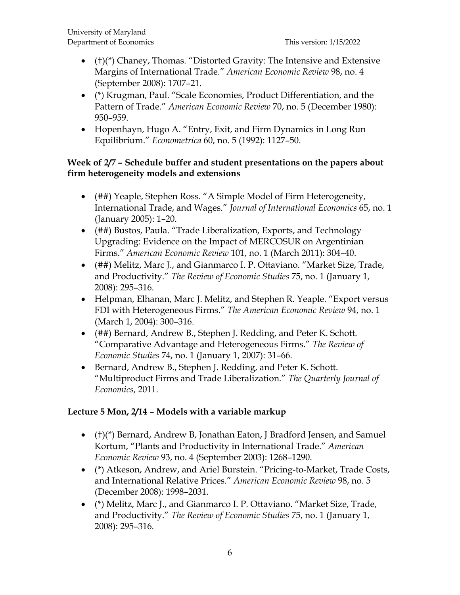- $\bullet$  (†)(\*) Chaney, Thomas. "Distorted Gravity: The Intensive and Extensive Margins of International Trade." *American Economic Review* 98, no. 4 (September 2008): 1707–21.
- (\*) Krugman, Paul. "Scale Economies, Product Differentiation, and the Pattern of Trade." *American Economic Review* 70, no. 5 (December 1980): 950–959.
- Hopenhayn, Hugo A. "Entry, Exit, and Firm Dynamics in Long Run Equilibrium." *Econometrica* 60, no. 5 (1992): 1127–50.

#### **Week of 2/7 – Schedule buffer and student presentations on the papers about firm heterogeneity models and extensions**

- (##) Yeaple, Stephen Ross. "A Simple Model of Firm Heterogeneity, International Trade, and Wages." *Journal of International Economics* 65, no. 1 (January 2005): 1–20.
- (##) Bustos, Paula. "Trade Liberalization, Exports, and Technology Upgrading: Evidence on the Impact of MERCOSUR on Argentinian Firms." *American Economic Review* 101, no. 1 (March 2011): 304–40.
- (##) Melitz, Marc J., and Gianmarco I. P. Ottaviano. "Market Size, Trade, and Productivity." *The Review of Economic Studies* 75, no. 1 (January 1, 2008): 295–316.
- Helpman, Elhanan, Marc J. Melitz, and Stephen R. Yeaple. "Export versus FDI with Heterogeneous Firms." *The American Economic Review* 94, no. 1 (March 1, 2004): 300–316.
- (##) Bernard, Andrew B., Stephen J. Redding, and Peter K. Schott. "Comparative Advantage and Heterogeneous Firms." *The Review of Economic Studies* 74, no. 1 (January 1, 2007): 31–66.
- Bernard, Andrew B., Stephen J. Redding, and Peter K. Schott. "Multiproduct Firms and Trade Liberalization." *The Quarterly Journal of Economics*, 2011.

### **Lecture 5 Mon, 2/14 – Models with a variable markup**

- (†)(\*) Bernard, Andrew B, Jonathan Eaton, J Bradford Jensen, and Samuel Kortum, "Plants and Productivity in International Trade." *American Economic Review* 93, no. 4 (September 2003): 1268–1290.
- (\*) Atkeson, Andrew, and Ariel Burstein. "Pricing-to-Market, Trade Costs, and International Relative Prices." *American Economic Review* 98, no. 5 (December 2008): 1998–2031.
- (\*) Melitz, Marc J., and Gianmarco I. P. Ottaviano. "Market Size, Trade, and Productivity." *The Review of Economic Studies* 75, no. 1 (January 1, 2008): 295–316.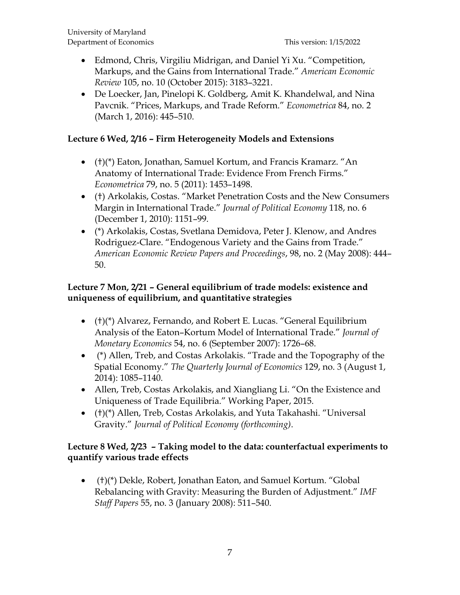- Edmond, Chris, Virgiliu Midrigan, and Daniel Yi Xu. "Competition, Markups, and the Gains from International Trade." *American Economic Review* 105, no. 10 (October 2015): 3183–3221.
- De Loecker, Jan, Pinelopi K. Goldberg, Amit K. Khandelwal, and Nina Pavcnik. "Prices, Markups, and Trade Reform." *Econometrica* 84, no. 2 (March 1, 2016): 445–510.

### **Lecture 6 Wed, 2/16 – Firm Heterogeneity Models and Extensions**

- (†)(\*) Eaton, Jonathan, Samuel Kortum, and Francis Kramarz. "An Anatomy of International Trade: Evidence From French Firms." *Econometrica* 79, no. 5 (2011): 1453–1498.
- (†) Arkolakis, Costas. "Market Penetration Costs and the New Consumers Margin in International Trade." *Journal of Political Economy* 118, no. 6 (December 1, 2010): 1151–99.
- (\*) Arkolakis, Costas, Svetlana Demidova, Peter J. Klenow, and Andres Rodriguez-Clare. "Endogenous Variety and the Gains from Trade." *American Economic Review Papers and Proceedings*, 98, no. 2 (May 2008): 444– 50.

### **Lecture 7 Mon, 2/21 – General equilibrium of trade models: existence and uniqueness of equilibrium, and quantitative strategies**

- (†)(\*) Alvarez, Fernando, and Robert E. Lucas. "General Equilibrium Analysis of the Eaton–Kortum Model of International Trade." *Journal of Monetary Economics* 54, no. 6 (September 2007): 1726–68.
- (\*) Allen, Treb, and Costas Arkolakis. "Trade and the Topography of the Spatial Economy." *The Quarterly Journal of Economics* 129, no. 3 (August 1, 2014): 1085–1140.
- Allen, Treb, Costas Arkolakis, and Xiangliang Li. "On the Existence and Uniqueness of Trade Equilibria." Working Paper, 2015.
- (†)(\*) Allen, Treb, Costas Arkolakis, and Yuta Takahashi. "Universal Gravity." *Journal of Political Economy (forthcoming)*.

### **Lecture 8 Wed, 2/23 – Taking model to the data: counterfactual experiments to quantify various trade effects**

• (†)(\*) Dekle, Robert, Jonathan Eaton, and Samuel Kortum. "Global Rebalancing with Gravity: Measuring the Burden of Adjustment." *IMF Staff Papers* 55, no. 3 (January 2008): 511–540.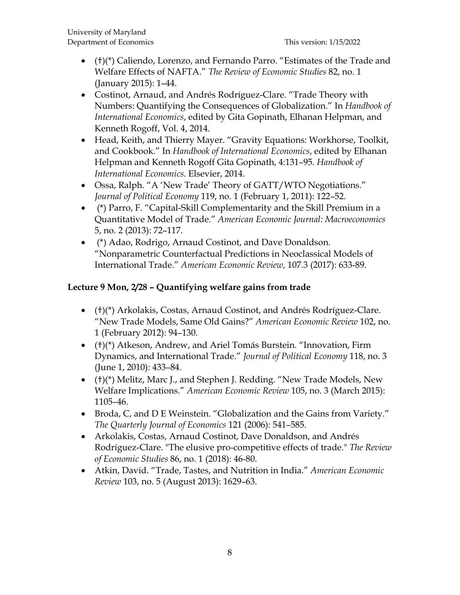- (†)(\*) Caliendo, Lorenzo, and Fernando Parro. "Estimates of the Trade and Welfare Effects of NAFTA." *The Review of Economic Studies* 82, no. 1 (January 2015): 1–44.
- Costinot, Arnaud, and Andrés Rodríguez-Clare. "Trade Theory with Numbers: Quantifying the Consequences of Globalization." In *Handbook of International Economics*, edited by Gita Gopinath, Elhanan Helpman, and Kenneth Rogoff, Vol. 4, 2014.
- Head, Keith, and Thierry Mayer. "Gravity Equations: Workhorse, Toolkit, and Cookbook." In *Handbook of International Economics*, edited by Elhanan Helpman and Kenneth Rogoff Gita Gopinath, 4:131–95. *Handbook of International Economics*. Elsevier, 2014.
- Ossa, Ralph. "A 'New Trade' Theory of GATT/WTO Negotiations." *Journal of Political Economy* 119, no. 1 (February 1, 2011): 122–52.
- (\*) Parro, F. "Capital-Skill Complementarity and the Skill Premium in a Quantitative Model of Trade." *American Economic Journal: Macroeconomics* 5, no. 2 (2013): 72–117.
- (\*) Adao, Rodrigo, Arnaud Costinot, and Dave Donaldson. "Nonparametric Counterfactual Predictions in Neoclassical Models of International Trade." *American Economic Review,* 107.3 (2017): 633-89.

# **Lecture 9 Mon, 2/28 – Quantifying welfare gains from trade**

- (†)(\*) Arkolakis, Costas, Arnaud Costinot, and Andrés Rodríguez-Clare. "New Trade Models, Same Old Gains?" *American Economic Review* 102, no. 1 (February 2012): 94–130.
- (†)(\*) Atkeson, Andrew, and Ariel Tomás Burstein. "Innovation, Firm Dynamics, and International Trade." *Journal of Political Economy* 118, no. 3 (June 1, 2010): 433–84.
- (†)(\*) Melitz, Marc J., and Stephen J. Redding. "New Trade Models, New Welfare Implications." *American Economic Review* 105, no. 3 (March 2015): 1105–46.
- Broda, C, and D E Weinstein. "Globalization and the Gains from Variety." *The Quarterly Journal of Economics* 121 (2006): 541–585.
- Arkolakis, Costas, Arnaud Costinot, Dave Donaldson, and Andrés Rodríguez-Clare. "The elusive pro-competitive effects of trade." *The Review of Economic Studies* 86, no. 1 (2018): 46-80.
- Atkin, David. "Trade, Tastes, and Nutrition in India." *American Economic Review* 103, no. 5 (August 2013): 1629–63.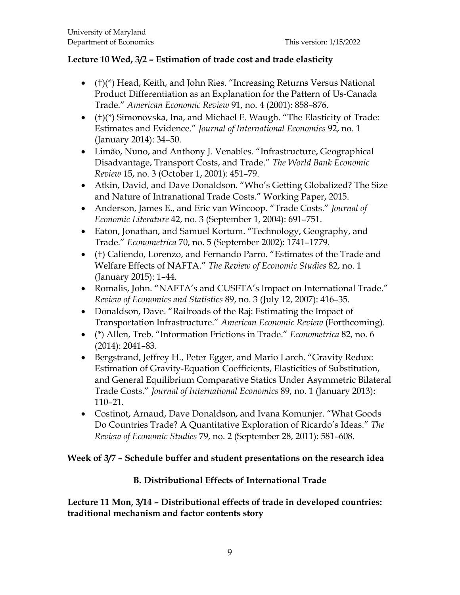### **Lecture 10 Wed, 3/2 – Estimation of trade cost and trade elasticity**

- (†)(\*) Head, Keith, and John Ries. "Increasing Returns Versus National Product Differentiation as an Explanation for the Pattern of Us-Canada Trade." *American Economic Review* 91, no. 4 (2001): 858–876.
- (†)(\*) Simonovska, Ina, and Michael E. Waugh. "The Elasticity of Trade: Estimates and Evidence." *Journal of International Economics* 92, no. 1 (January 2014): 34–50.
- Limão, Nuno, and Anthony J. Venables. "Infrastructure, Geographical Disadvantage, Transport Costs, and Trade." *The World Bank Economic Review* 15, no. 3 (October 1, 2001): 451–79.
- Atkin, David, and Dave Donaldson. "Who's Getting Globalized? The Size and Nature of Intranational Trade Costs." Working Paper, 2015.
- Anderson, James E., and Eric van Wincoop. "Trade Costs." *Journal of Economic Literature* 42, no. 3 (September 1, 2004): 691–751.
- Eaton, Jonathan, and Samuel Kortum. "Technology, Geography, and Trade." *Econometrica* 70, no. 5 (September 2002): 1741–1779.
- (†) Caliendo, Lorenzo, and Fernando Parro. "Estimates of the Trade and Welfare Effects of NAFTA." *The Review of Economic Studies* 82, no. 1 (January 2015): 1–44.
- Romalis, John. "NAFTA's and CUSFTA's Impact on International Trade." *Review of Economics and Statistics* 89, no. 3 (July 12, 2007): 416–35.
- Donaldson, Dave. "Railroads of the Raj: Estimating the Impact of Transportation Infrastructure." *American Economic Review* (Forthcoming).
- (\*) Allen, Treb. "Information Frictions in Trade." *Econometrica* 82, no. 6 (2014): 2041–83.
- Bergstrand, Jeffrey H., Peter Egger, and Mario Larch. "Gravity Redux: Estimation of Gravity-Equation Coefficients, Elasticities of Substitution, and General Equilibrium Comparative Statics Under Asymmetric Bilateral Trade Costs." *Journal of International Economics* 89, no. 1 (January 2013): 110–21.
- Costinot, Arnaud, Dave Donaldson, and Ivana Komunjer. "What Goods Do Countries Trade? A Quantitative Exploration of Ricardo's Ideas." *The Review of Economic Studies* 79, no. 2 (September 28, 2011): 581–608.

### **Week of 3/7 – Schedule buffer and student presentations on the research idea**

### **B. Distributional Effects of International Trade**

**Lecture 11 Mon, 3/14 – Distributional effects of trade in developed countries: traditional mechanism and factor contents story**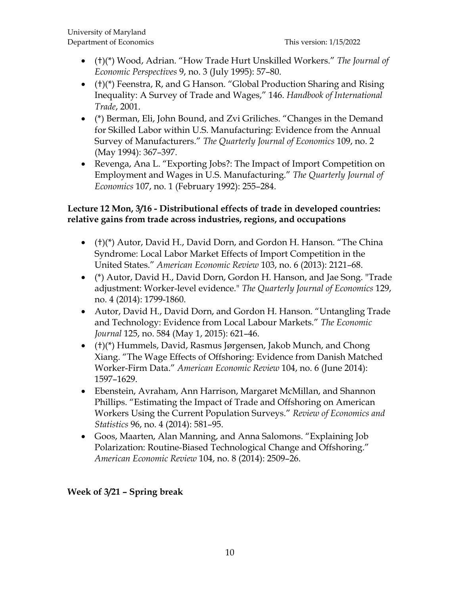- (†)(\*) Wood, Adrian. "How Trade Hurt Unskilled Workers." *The Journal of Economic Perspectives* 9, no. 3 (July 1995): 57–80.
- (†)(\*) Feenstra, R, and G Hanson. "Global Production Sharing and Rising Inequality: A Survey of Trade and Wages," 146. *Handbook of International Trade*, 2001.
- (\*) Berman, Eli, John Bound, and Zvi Griliches. "Changes in the Demand for Skilled Labor within U.S. Manufacturing: Evidence from the Annual Survey of Manufacturers." *The Quarterly Journal of Economics* 109, no. 2 (May 1994): 367–397.
- Revenga, Ana L. "Exporting Jobs?: The Impact of Import Competition on Employment and Wages in U.S. Manufacturing." *The Quarterly Journal of Economics* 107, no. 1 (February 1992): 255–284.

# **Lecture 12 Mon, 3/16 - Distributional effects of trade in developed countries: relative gains from trade across industries, regions, and occupations**

- (†)(\*) Autor, David H., David Dorn, and Gordon H. Hanson. "The China Syndrome: Local Labor Market Effects of Import Competition in the United States." *American Economic Review* 103, no. 6 (2013): 2121–68.
- (\*) Autor, David H., David Dorn, Gordon H. Hanson, and Jae Song. "Trade adjustment: Worker-level evidence." *The Quarterly Journal of Economics* 129, no. 4 (2014): 1799-1860.
- Autor, David H., David Dorn, and Gordon H. Hanson. "Untangling Trade and Technology: Evidence from Local Labour Markets." *The Economic Journal* 125, no. 584 (May 1, 2015): 621–46.
- (†)(\*) Hummels, David, Rasmus Jørgensen, Jakob Munch, and Chong Xiang. "The Wage Effects of Offshoring: Evidence from Danish Matched Worker-Firm Data." *American Economic Review* 104, no. 6 (June 2014): 1597–1629.
- Ebenstein, Avraham, Ann Harrison, Margaret McMillan, and Shannon Phillips. "Estimating the Impact of Trade and Offshoring on American Workers Using the Current Population Surveys." *Review of Economics and Statistics* 96, no. 4 (2014): 581–95.
- Goos, Maarten, Alan Manning, and Anna Salomons. "Explaining Job Polarization: Routine-Biased Technological Change and Offshoring." *American Economic Review* 104, no. 8 (2014): 2509–26.

**Week of 3/21 – Spring break**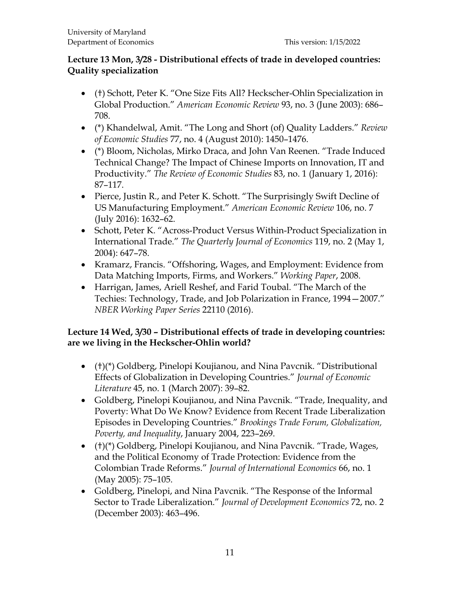### **Lecture 13 Mon, 3/28 - Distributional effects of trade in developed countries: Quality specialization**

- (†) Schott, Peter K. "One Size Fits All? Heckscher-Ohlin Specialization in Global Production." *American Economic Review* 93, no. 3 (June 2003): 686– 708.
- (\*) Khandelwal, Amit. "The Long and Short (of) Quality Ladders." *Review of Economic Studies* 77, no. 4 (August 2010): 1450–1476.
- (\*) Bloom, Nicholas, Mirko Draca, and John Van Reenen. "Trade Induced Technical Change? The Impact of Chinese Imports on Innovation, IT and Productivity." *The Review of Economic Studies* 83, no. 1 (January 1, 2016): 87–117.
- Pierce, Justin R., and Peter K. Schott. "The Surprisingly Swift Decline of US Manufacturing Employment." *American Economic Review* 106, no. 7 (July 2016): 1632–62.
- Schott, Peter K. "Across-Product Versus Within-Product Specialization in International Trade." *The Quarterly Journal of Economics* 119, no. 2 (May 1, 2004): 647–78.
- Kramarz, Francis. "Offshoring, Wages, and Employment: Evidence from Data Matching Imports, Firms, and Workers." *Working Paper*, 2008.
- Harrigan, James, Ariell Reshef, and Farid Toubal. "The March of the Techies: Technology, Trade, and Job Polarization in France, 1994—2007." *NBER Working Paper Series* 22110 (2016).

# **Lecture 14 Wed, 3/30 – Distributional effects of trade in developing countries: are we living in the Heckscher-Ohlin world?**

- (†)(\*) Goldberg, Pinelopi Koujianou, and Nina Pavcnik. "Distributional Effects of Globalization in Developing Countries." *Journal of Economic Literature* 45, no. 1 (March 2007): 39–82.
- Goldberg, Pinelopi Koujianou, and Nina Pavcnik. "Trade, Inequality, and Poverty: What Do We Know? Evidence from Recent Trade Liberalization Episodes in Developing Countries." *Brookings Trade Forum, Globalization, Poverty, and Inequality*, January 2004, 223–269.
- (†)(\*) Goldberg, Pinelopi Koujianou, and Nina Pavcnik. "Trade, Wages, and the Political Economy of Trade Protection: Evidence from the Colombian Trade Reforms." *Journal of International Economics* 66, no. 1 (May 2005): 75–105.
- Goldberg, Pinelopi, and Nina Pavcnik. "The Response of the Informal Sector to Trade Liberalization." *Journal of Development Economics* 72, no. 2 (December 2003): 463–496.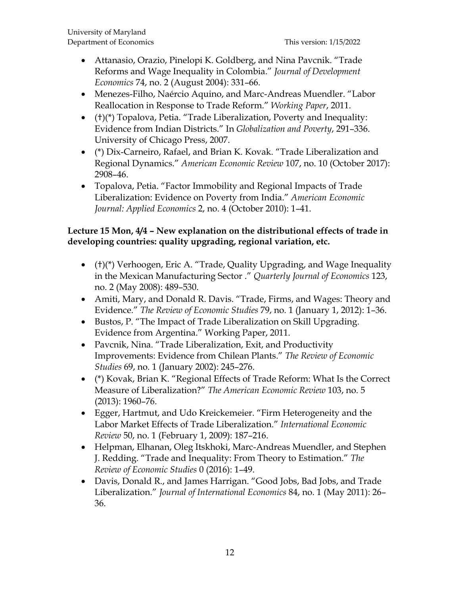- Attanasio, Orazio, Pinelopi K. Goldberg, and Nina Pavcnik. "Trade Reforms and Wage Inequality in Colombia." *Journal of Development Economics* 74, no. 2 (August 2004): 331–66.
- Menezes-Filho, Naércio Aquino, and Marc-Andreas Muendler. "Labor Reallocation in Response to Trade Reform." *Working Paper*, 2011.
- (†)(\*) Topalova, Petia. "Trade Liberalization, Poverty and Inequality: Evidence from Indian Districts." In *Globalization and Poverty*, 291–336. University of Chicago Press, 2007.
- (\*) Dix-Carneiro, Rafael, and Brian K. Kovak. "Trade Liberalization and Regional Dynamics." *American Economic Review* 107, no. 10 (October 2017): 2908–46.
- Topalova, Petia. "Factor Immobility and Regional Impacts of Trade Liberalization: Evidence on Poverty from India." *American Economic Journal: Applied Economics* 2, no. 4 (October 2010): 1–41.

# **Lecture 15 Mon, 4/4 – New explanation on the distributional effects of trade in developing countries: quality upgrading, regional variation, etc.**

- (†)(\*) Verhoogen, Eric A. "Trade, Quality Upgrading, and Wage Inequality in the Mexican Manufacturing Sector ." *Quarterly Journal of Economics* 123, no. 2 (May 2008): 489–530.
- Amiti, Mary, and Donald R. Davis. "Trade, Firms, and Wages: Theory and Evidence." *The Review of Economic Studies* 79, no. 1 (January 1, 2012): 1–36.
- Bustos, P. "The Impact of Trade Liberalization on Skill Upgrading. Evidence from Argentina." Working Paper, 2011.
- Pavcnik, Nina. "Trade Liberalization, Exit, and Productivity Improvements: Evidence from Chilean Plants." *The Review of Economic Studies* 69, no. 1 (January 2002): 245–276.
- (\*) Kovak, Brian K. "Regional Effects of Trade Reform: What Is the Correct Measure of Liberalization?" *The American Economic Review* 103, no. 5 (2013): 1960–76.
- Egger, Hartmut, and Udo Kreickemeier. "Firm Heterogeneity and the Labor Market Effects of Trade Liberalization." *International Economic Review* 50, no. 1 (February 1, 2009): 187–216.
- Helpman, Elhanan, Oleg Itskhoki, Marc-Andreas Muendler, and Stephen J. Redding. "Trade and Inequality: From Theory to Estimation." *The Review of Economic Studies* 0 (2016): 1–49.
- Davis, Donald R., and James Harrigan. "Good Jobs, Bad Jobs, and Trade Liberalization." *Journal of International Economics* 84, no. 1 (May 2011): 26– 36.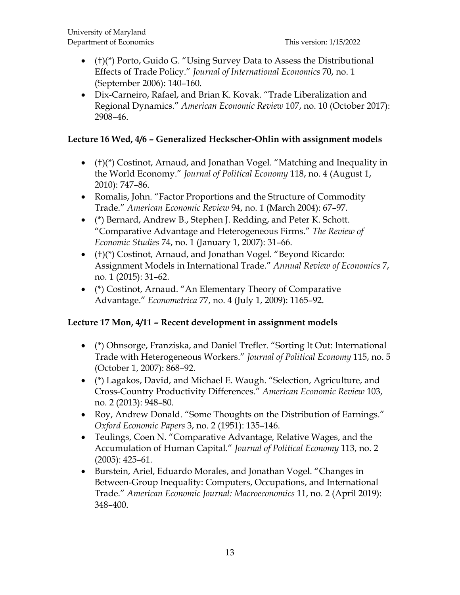- (†)(\*) Porto, Guido G. "Using Survey Data to Assess the Distributional Effects of Trade Policy." *Journal of International Economics* 70, no. 1 (September 2006): 140–160.
- Dix-Carneiro, Rafael, and Brian K. Kovak. "Trade Liberalization and Regional Dynamics." *American Economic Review* 107, no. 10 (October 2017): 2908–46.

### **Lecture 16 Wed, 4/6 – Generalized Heckscher-Ohlin with assignment models**

- (†)(\*) Costinot, Arnaud, and Jonathan Vogel. "Matching and Inequality in the World Economy." *Journal of Political Economy* 118, no. 4 (August 1, 2010): 747–86.
- Romalis, John. "Factor Proportions and the Structure of Commodity Trade." *American Economic Review* 94, no. 1 (March 2004): 67–97.
- (\*) Bernard, Andrew B., Stephen J. Redding, and Peter K. Schott. "Comparative Advantage and Heterogeneous Firms." *The Review of Economic Studies* 74, no. 1 (January 1, 2007): 31–66.
- (†)(\*) Costinot, Arnaud, and Jonathan Vogel. "Beyond Ricardo: Assignment Models in International Trade." *Annual Review of Economics* 7, no. 1 (2015): 31–62.
- (\*) Costinot, Arnaud. "An Elementary Theory of Comparative Advantage." *Econometrica* 77, no. 4 (July 1, 2009): 1165–92.

# **Lecture 17 Mon, 4/11 – Recent development in assignment models**

- (\*) Ohnsorge, Franziska, and Daniel Trefler. "Sorting It Out: International Trade with Heterogeneous Workers." *Journal of Political Economy* 115, no. 5 (October 1, 2007): 868–92.
- (\*) Lagakos, David, and Michael E. Waugh. "Selection, Agriculture, and Cross-Country Productivity Differences." *American Economic Review* 103, no. 2 (2013): 948–80.
- Roy, Andrew Donald. "Some Thoughts on the Distribution of Earnings." *Oxford Economic Papers* 3, no. 2 (1951): 135–146.
- Teulings, Coen N. "Comparative Advantage, Relative Wages, and the Accumulation of Human Capital." *Journal of Political Economy* 113, no. 2 (2005): 425–61.
- Burstein, Ariel, Eduardo Morales, and Jonathan Vogel. "Changes in Between-Group Inequality: Computers, Occupations, and International Trade." *American Economic Journal: Macroeconomics* 11, no. 2 (April 2019): 348–400.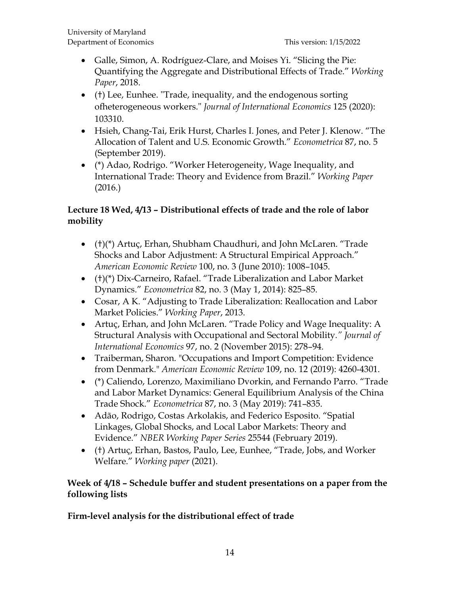- Galle, Simon, A. Rodríguez-Clare, and Moises Yi. "Slicing the Pie: Quantifying the Aggregate and Distributional Effects of Trade." *Working Paper*, 2018.
- (†) Lee, Eunhee. "Trade, inequality, and the endogenous sorting ofheterogeneous workers." *Journal of International Economics* 125 (2020): 103310.
- Hsieh, Chang-Tai, Erik Hurst, Charles I. Jones, and Peter J. Klenow. "The Allocation of Talent and U.S. Economic Growth." *Econometrica* 87, no. 5 (September 2019).
- (\*) Adao, Rodrigo. "Worker Heterogeneity, Wage Inequality, and International Trade: Theory and Evidence from Brazil." *Working Paper* (2016.)

# **Lecture 18 Wed, 4/13 – Distributional effects of trade and the role of labor mobility**

- (†)(\*) Artuç, Erhan, Shubham Chaudhuri, and John McLaren. "Trade Shocks and Labor Adjustment: A Structural Empirical Approach." *American Economic Review* 100, no. 3 (June 2010): 1008–1045.
- (†)(\*) Dix-Carneiro, Rafael. "Trade Liberalization and Labor Market Dynamics." *Econometrica* 82, no. 3 (May 1, 2014): 825–85.
- Cosar, A K. "Adjusting to Trade Liberalization: Reallocation and Labor Market Policies." *Working Paper*, 2013.
- Artuç, Erhan, and John McLaren. "Trade Policy and Wage Inequality: A Structural Analysis with Occupational and Sectoral Mobility*." Journal of International Economics* 97, no. 2 (November 2015): 278–94.
- Traiberman, Sharon. "Occupations and Import Competition: Evidence from Denmark." *American Economic Review* 109, no. 12 (2019): 4260-4301.
- (\*) Caliendo, Lorenzo, Maximiliano Dvorkin, and Fernando Parro. "Trade and Labor Market Dynamics: General Equilibrium Analysis of the China Trade Shock." *Econometrica* 87, no. 3 (May 2019): 741–835.
- Adão, Rodrigo, Costas Arkolakis, and Federico Esposito. "Spatial Linkages, Global Shocks, and Local Labor Markets: Theory and Evidence." *NBER Working Paper Series* 25544 (February 2019).
- (†) Artuç, Erhan, Bastos, Paulo, Lee, Eunhee, "Trade, Jobs, and Worker Welfare." *Working paper* (2021).

### **Week of 4/18 – Schedule buffer and student presentations on a paper from the following lists**

# **Firm-level analysis for the distributional effect of trade**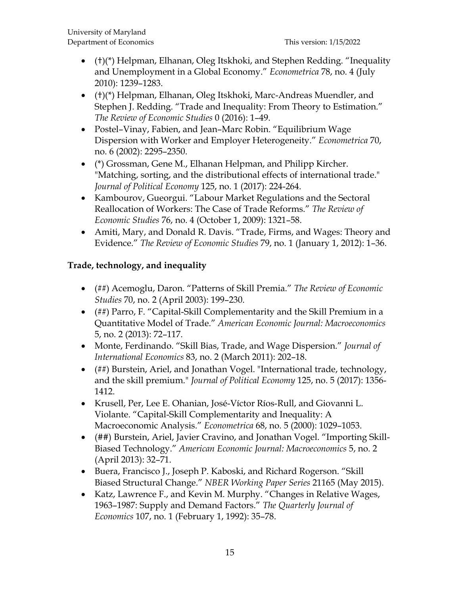- (†)(\*) Helpman, Elhanan, Oleg Itskhoki, and Stephen Redding. "Inequality and Unemployment in a Global Economy." *Econometrica* 78, no. 4 (July 2010): 1239–1283.
- (†)(\*) Helpman, Elhanan, Oleg Itskhoki, Marc-Andreas Muendler, and Stephen J. Redding. "Trade and Inequality: From Theory to Estimation." *The Review of Economic Studies* 0 (2016): 1–49.
- Postel–Vinay, Fabien, and Jean–Marc Robin. "Equilibrium Wage Dispersion with Worker and Employer Heterogeneity." *Econometrica* 70, no. 6 (2002): 2295–2350.
- (\*) Grossman, Gene M., Elhanan Helpman, and Philipp Kircher. "Matching, sorting, and the distributional effects of international trade." *Journal of Political Economy* 125, no. 1 (2017): 224-264.
- Kambourov, Gueorgui. "Labour Market Regulations and the Sectoral Reallocation of Workers: The Case of Trade Reforms." *The Review of Economic Studies* 76, no. 4 (October 1, 2009): 1321–58.
- Amiti, Mary, and Donald R. Davis. "Trade, Firms, and Wages: Theory and Evidence." *The Review of Economic Studies* 79, no. 1 (January 1, 2012): 1–36.

# **Trade, technology, and inequality**

- (##) Acemoglu, Daron. "Patterns of Skill Premia." *The Review of Economic Studies* 70, no. 2 (April 2003): 199–230.
- (##) Parro, F. "Capital-Skill Complementarity and the Skill Premium in a Quantitative Model of Trade." *American Economic Journal: Macroeconomics* 5, no. 2 (2013): 72–117.
- Monte, Ferdinando. "Skill Bias, Trade, and Wage Dispersion." *Journal of International Economics* 83, no. 2 (March 2011): 202–18.
- (##) Burstein, Ariel, and Jonathan Vogel. "International trade, technology, and the skill premium." *Journal of Political Economy* 125, no. 5 (2017): 1356- 1412.
- Krusell, Per, Lee E. Ohanian, José-Víctor Ríos-Rull, and Giovanni L. Violante. "Capital-Skill Complementarity and Inequality: A Macroeconomic Analysis." *Econometrica* 68, no. 5 (2000): 1029–1053.
- (##) Burstein, Ariel, Javier Cravino, and Jonathan Vogel. "Importing Skill-Biased Technology." *American Economic Journal: Macroeconomics* 5, no. 2 (April 2013): 32–71.
- Buera, Francisco J., Joseph P. Kaboski, and Richard Rogerson. "Skill Biased Structural Change." *NBER Working Paper Series* 21165 (May 2015).
- Katz, Lawrence F., and Kevin M. Murphy. "Changes in Relative Wages, 1963–1987: Supply and Demand Factors." *The Quarterly Journal of Economics* 107, no. 1 (February 1, 1992): 35–78.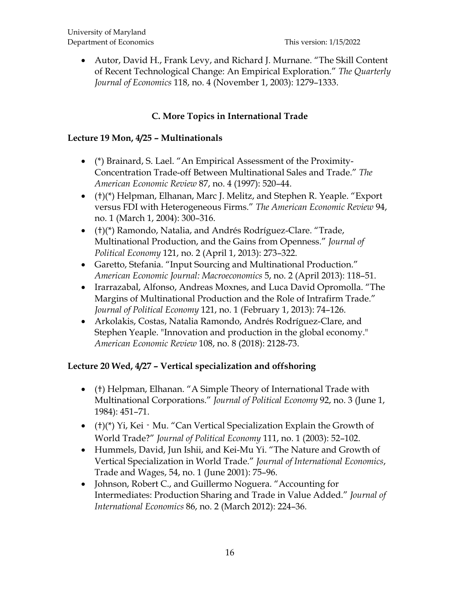• Autor, David H., Frank Levy, and Richard J. Murnane. "The Skill Content of Recent Technological Change: An Empirical Exploration." *The Quarterly Journal of Economics* 118, no. 4 (November 1, 2003): 1279–1333.

# **C. More Topics in International Trade**

#### **Lecture 19 Mon, 4/25 – Multinationals**

- (\*) Brainard, S. Lael. "An Empirical Assessment of the Proximity-Concentration Trade-off Between Multinational Sales and Trade." *The American Economic Review* 87, no. 4 (1997): 520–44.
- (†)(\*) Helpman, Elhanan, Marc J. Melitz, and Stephen R. Yeaple. "Export versus FDI with Heterogeneous Firms." *The American Economic Review* 94, no. 1 (March 1, 2004): 300–316.
- (†)(\*) Ramondo, Natalia, and Andrés Rodríguez-Clare. "Trade, Multinational Production, and the Gains from Openness." *Journal of Political Economy* 121, no. 2 (April 1, 2013): 273–322.
- Garetto, Stefania. "Input Sourcing and Multinational Production." *American Economic Journal: Macroeconomics* 5, no. 2 (April 2013): 118–51.
- Irarrazabal, Alfonso, Andreas Moxnes, and Luca David Opromolla. "The Margins of Multinational Production and the Role of Intrafirm Trade." *Journal of Political Economy* 121, no. 1 (February 1, 2013): 74–126.
- Arkolakis, Costas, Natalia Ramondo, Andrés Rodríguez-Clare, and Stephen Yeaple. "Innovation and production in the global economy." *American Economic Review* 108, no. 8 (2018): 2128-73.

#### **Lecture 20 Wed, 4/27 – Vertical specialization and offshoring**

- (†) Helpman, Elhanan. "A Simple Theory of International Trade with Multinational Corporations." *Journal of Political Economy* 92, no. 3 (June 1, 1984): 451–71.
- (†)(\*) Yi, Kei · Mu. "Can Vertical Specialization Explain the Growth of World Trade?" *Journal of Political Economy* 111, no. 1 (2003): 52–102.
- Hummels, David, Jun Ishii, and Kei-Mu Yi. "The Nature and Growth of Vertical Specialization in World Trade." *Journal of International Economics*, Trade and Wages, 54, no. 1 (June 2001): 75–96.
- Johnson, Robert C., and Guillermo Noguera. "Accounting for Intermediates: Production Sharing and Trade in Value Added." *Journal of International Economics* 86, no. 2 (March 2012): 224–36.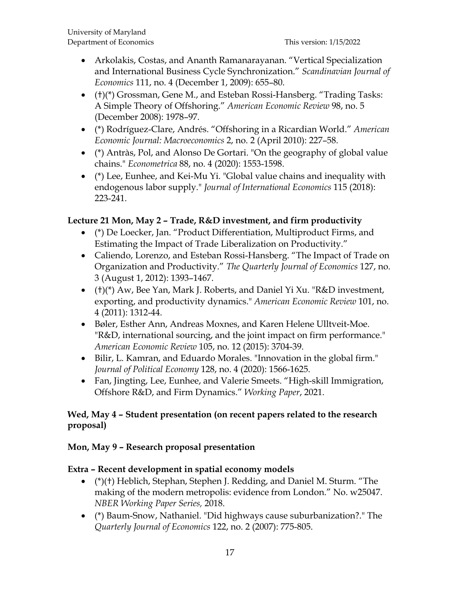- Arkolakis, Costas, and Ananth Ramanarayanan. "Vertical Specialization and International Business Cycle Synchronization." *Scandinavian Journal of Economics* 111, no. 4 (December 1, 2009): 655–80.
- (†)(\*) Grossman, Gene M., and Esteban Rossi-Hansberg. "Trading Tasks: A Simple Theory of Offshoring." *American Economic Review* 98, no. 5 (December 2008): 1978–97.
- (\*) Rodríguez-Clare, Andrés. "Offshoring in a Ricardian World." *American Economic Journal: Macroeconomics* 2, no. 2 (April 2010): 227–58.
- (\*) Antràs, Pol, and Alonso De Gortari. "On the geography of global value chains." *Econometrica* 88, no. 4 (2020): 1553-1598.
- (\*) Lee, Eunhee, and Kei-Mu Yi. "Global value chains and inequality with endogenous labor supply." *Journal of International Economics* 115 (2018): 223-241.

# **Lecture 21 Mon, May 2 – Trade, R&D investment, and firm productivity**

- (\*) De Loecker, Jan. "Product Differentiation, Multiproduct Firms, and Estimating the Impact of Trade Liberalization on Productivity."
- Caliendo, Lorenzo, and Esteban Rossi-Hansberg. "The Impact of Trade on Organization and Productivity." *The Quarterly Journal of Economics* 127, no. 3 (August 1, 2012): 1393–1467.
- (†)(\*) Aw, Bee Yan, Mark J. Roberts, and Daniel Yi Xu. "R&D investment, exporting, and productivity dynamics." *American Economic Review* 101, no. 4 (2011): 1312-44.
- Bøler, Esther Ann, Andreas Moxnes, and Karen Helene Ulltveit-Moe. "R&D, international sourcing, and the joint impact on firm performance." *American Economic Review* 105, no. 12 (2015): 3704-39.
- Bilir, L. Kamran, and Eduardo Morales. "Innovation in the global firm." *Journal of Political Economy* 128, no. 4 (2020): 1566-1625.
- Fan, Jingting, Lee, Eunhee, and Valerie Smeets. "High-skill Immigration, Offshore R&D, and Firm Dynamics." *Working Paper*, 2021.

### **Wed, May 4 – Student presentation (on recent papers related to the research proposal)**

### **Mon, May 9 – Research proposal presentation**

### **Extra – Recent development in spatial economy models**

- (\*)(†) Heblich, Stephan, Stephen J. Redding, and Daniel M. Sturm. "The making of the modern metropolis: evidence from London." No. w25047. *NBER Working Paper Series,* 2018.
- (\*) Baum-Snow, Nathaniel. "Did highways cause suburbanization?." The *Quarterly Journal of Economics* 122, no. 2 (2007): 775-805.